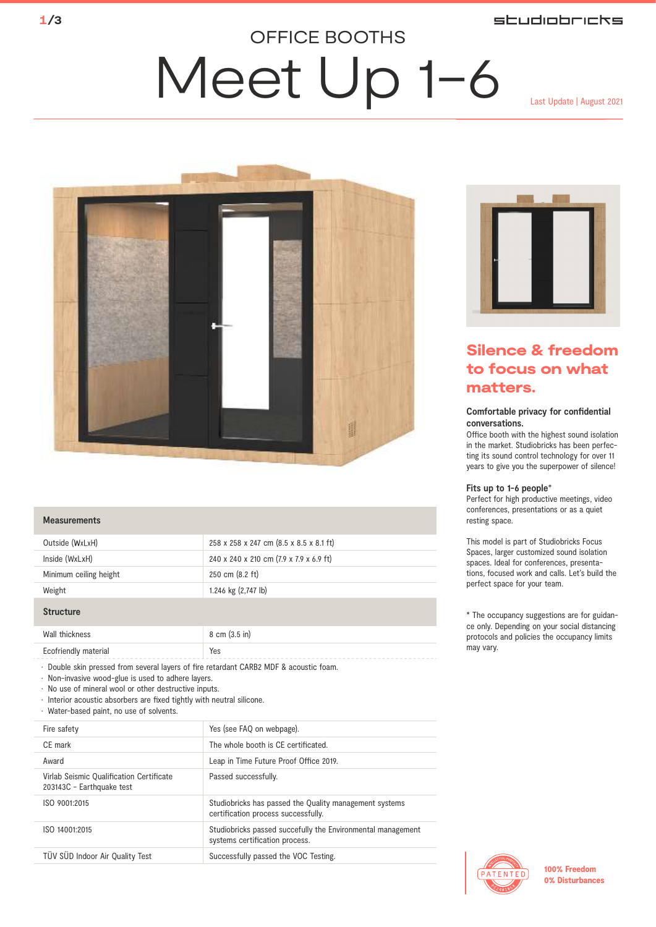## **studiobricks**

## OFFICE BOOTHS

## Meet Up 1-6 Last Update | August 2021



#### **Measurements**

| Outside (WxLxH)        | 258 x 258 x 247 cm (8.5 x 8.5 x 8.1 ft) |
|------------------------|-----------------------------------------|
| Inside (WxLxH)         | 240 x 240 x 210 cm (7.9 x 7.9 x 6.9 ft) |
| Minimum ceiling height | 250 cm (8.2 ft)                         |
| Weight                 | 1.246 kg (2,747 lb)                     |

#### **Structure**

| Wall thickness                                             | 8 cm (3.5 in) |
|------------------------------------------------------------|---------------|
| Ecofriendly material<br>__________________________________ | Yes           |

• Double skin pressed from several layers of fire retardant CARB2 MDF & acoustic foam.

• Non-invasive wood-glue is used to adhere layers.

• No use of mineral wool or other destructive inputs.

 $\cdot$  Interior acoustic absorbers are fixed tightly with neutral silicone.

• Water-based paint, no use of solvents.

| Yes (see FAQ on webpage).                                                                     |
|-----------------------------------------------------------------------------------------------|
|                                                                                               |
| The whole booth is CE certificated.                                                           |
| Leap in Time Future Proof Office 2019.                                                        |
| Passed successfully.                                                                          |
| Studiobricks has passed the Quality management systems<br>certification process successfully. |
| Studiobricks passed succefully the Environmental management<br>systems certification process. |
| Successfully passed the VOC Testing.                                                          |
|                                                                                               |



## Silence & freedom to focus on what matters.

#### Comfortable privacy for confidential conversations.

Office booth with the highest sound isolation in the market. Studiobricks has been perfecting its sound control technology for over 11 years to give you the superpower of silence!

#### Fits up to 1-6 people\*

Perfect for high productive meetings, video conferences, presentations or as a quiet resting space.

This model is part of Studiobricks Focus Spaces, larger customized sound isolation spaces. Ideal for conferences, presentations, focused work and calls. Let's build the perfect space for your team.

\* The occupancy suggestions are for guidance only. Depending on your social distancing protocols and policies the occupancy limits may vary.



100% Freedom 0% Disturbances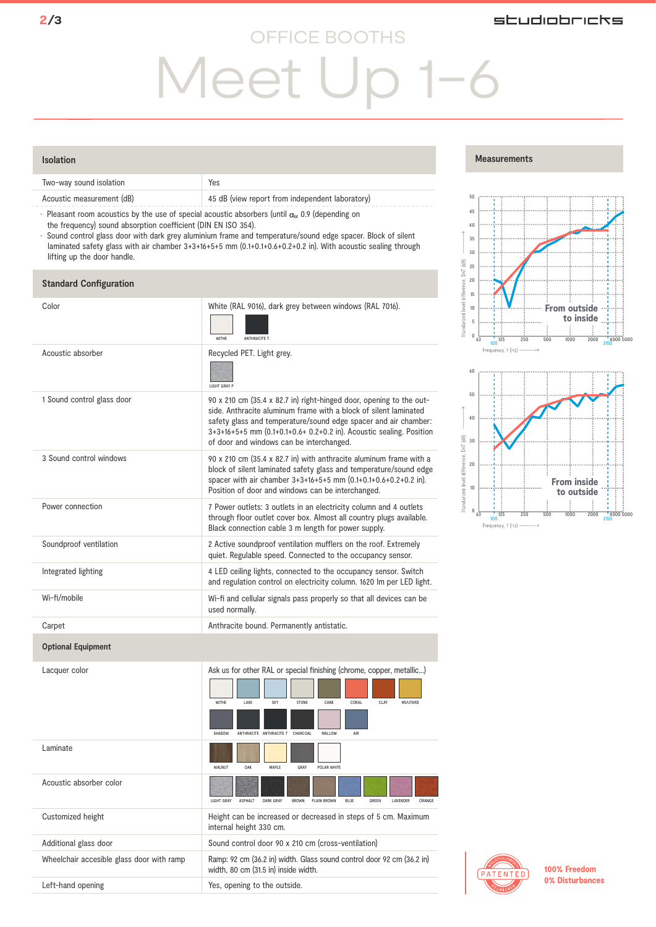## OFFICE BOOTHS

## studiobricks

# Meet Up 1-6

### Isolation

|                                                                                                | Two-way sound isolation   | Yes                                             |
|------------------------------------------------------------------------------------------------|---------------------------|-------------------------------------------------|
|                                                                                                | Acoustic measurement (dB) | 45 dB (view report from independent laboratory) |
| Dloggant room againstice bu the use of engelel againstic charakers funtil as 0.0 (depending an |                           |                                                 |

Pleasant room acoustics by the use of special acoustic absorbers (until  $\alpha_w$  0.9 (depending on the frequency) sound absorption coefficient (DIN EN ISO 354).

• Sound control glass door with dark grey aluminium frame and temperature/sound edge spacer. Block of silent laminated safety glass with air chamber 3+3+16+5+5 mm (0.1+0.1+0.6+0.2+0.2 in). With acoustic sealing through lifting up the door handle.

### **Standard Configuration**

|                            |                                                                                                                                                                                                                                                                                                                               | 15                                                                            |
|----------------------------|-------------------------------------------------------------------------------------------------------------------------------------------------------------------------------------------------------------------------------------------------------------------------------------------------------------------------------|-------------------------------------------------------------------------------|
| Color                      | White (RAL 9016), dark grey between windows (RAL 7016).<br>WITHE<br>ANTHRACITE T                                                                                                                                                                                                                                              | Standarized level diffe<br>10<br>5<br>$\mathbf{0}$<br>125<br>250<br>63<br>100 |
| Acoustic absorber          | Recycled PET. Light grey.<br>LIGHT GRAY P                                                                                                                                                                                                                                                                                     | Frequency, f (Hz) -<br>60                                                     |
| 1 Sound control glass door | 90 x 210 cm (35.4 x 82.7 in) right-hinged door, opening to the out-<br>side. Anthracite aluminum frame with a block of silent laminated<br>safety glass and temperature/sound edge spacer and air chamber:<br>3+3+16+5+5 mm (0.1+0.1+0.6+ 0.2+0.2 in). Acoustic sealing. Position<br>of door and windows can be interchanged. | 50<br>40<br>30                                                                |
| 3 Sound control windows    | 90 x 210 cm (35.4 x 82.7 in) with anthracite aluminum frame with a<br>block of silent laminated safety glass and temperature/sound edge<br>spacer with air chamber 3+3+16+5+5 mm (0.1+0.1+0.6+0.2+0.2 in).<br>Position of door and windows can be interchanged.                                                               | Standarized level difference, DnT (dB)<br>20<br>10                            |
| Power connection           | 7 Power outlets: 3 outlets in an electricity column and 4 outlets<br>through floor outlet cover box. Almost all country plugs available.<br>Black connection cable 3 m length for power supply.                                                                                                                               | $\bf 0$<br>125<br>63<br>250<br>100<br>Frequency, f (Hz) -                     |
| Soundproof ventilation     | 2 Active soundproof ventilation mufflers on the roof. Extremely<br>quiet. Regulable speed. Connected to the occupancy sensor.                                                                                                                                                                                                 |                                                                               |
| Integrated lighting        | 4 LED ceiling lights, connected to the occupancy sensor. Switch<br>and regulation control on electricity column. 1620 Im per LED light.                                                                                                                                                                                       |                                                                               |
| Wi-fi/mobile               | Wi-fi and cellular signals pass properly so that all devices can be<br>used normally.                                                                                                                                                                                                                                         |                                                                               |
| Carpet                     | Anthracite bound. Permanently antistatic.                                                                                                                                                                                                                                                                                     |                                                                               |
| <b>Optional Equipment</b>  |                                                                                                                                                                                                                                                                                                                               |                                                                               |
| Lacquer color              | Ask us for other RAL or special finishing (chrome, copper, metallic)<br>WITHE<br>LAKE<br>SKY<br>STONE<br>CANE<br>CORAL<br>MUUTARD<br>CLAY                                                                                                                                                                                     |                                                                               |

|                                           | SHADOW<br>ANTHRACITE ANTHRACITE T<br>CHARCOAL<br>MAI LOW<br>AIR                                                                        |
|-------------------------------------------|----------------------------------------------------------------------------------------------------------------------------------------|
| Laminate                                  | WAI NUT<br>OAK<br>MAPI F<br>GRAY<br>POI AR WHITE                                                                                       |
| Acoustic absorber color                   | <b>LIGHT GRAY</b><br><b>ASPHALT</b><br>DARK GRAY<br>GRFFN<br><b>I AVENDER</b><br><b>BROWN</b><br>PI AIN RROWN<br><b>BLUE</b><br>ORANGE |
| Customized height                         | Height can be increased or decreased in steps of 5 cm. Maximum<br>internal height 330 cm.                                              |
| Additional glass door                     | Sound control door 90 x 210 cm (cross-ventilation)                                                                                     |
| Wheelchair accesible glass door with ramp | Ramp: 92 cm (36.2 in) width. Glass sound control door 92 cm (36.2 in)<br>width, 80 cm (31.5 in) inside width.                          |
| Left-hand opening                         | Yes, opening to the outside.                                                                                                           |
|                                           |                                                                                                                                        |

### Measurements







100% Freedom 0% Disturbances